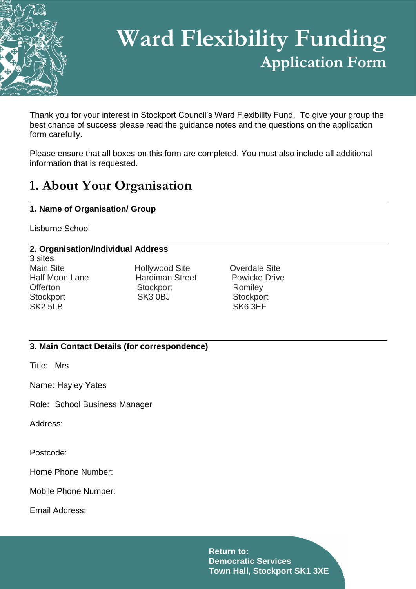

# **Ward Flexibility Funding Application Form**

Thank you for your interest in Stockport Council's Ward Flexibility Fund. To give your group the best chance of success please read the guidance notes and the questions on the application form carefully.

Please ensure that all boxes on this form are completed. You must also include all additional information that is requested.

### **1. About Your Organisation**

#### **1. Name of Organisation/ Group**

Lisburne School

#### **2. Organisation/Individual Address**

3 sites SK2 5LB SK6 3EF

Main Site **Main Site** Hollywood Site **Overdale Site** Half Moon Lane **Hardiman Street** Powicke Drive Offerton Stockport Romiley Stockport SK3 0BJ Stockport

#### **3. Main Contact Details (for correspondence)**

Title: Mrs

Name: Hayley Yates

Role: School Business Manager

Address:

Postcode:

Home Phone Number:

Mobile Phone Number:

Email Address: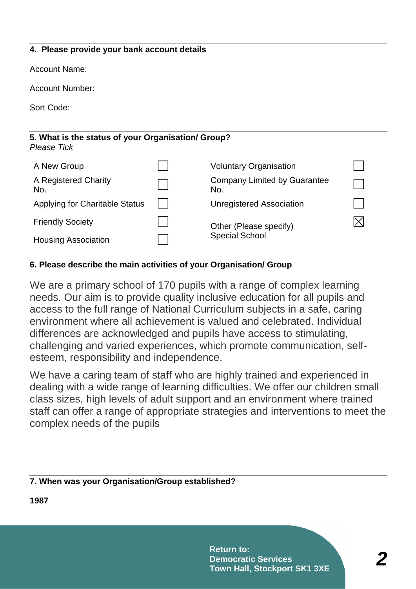#### **4. Please provide your bank account details**

Account Name:

Account Number:

Sort Code:

#### **5. What is the status of your Organisation/ Group?**  *Please Tick*

| A New Group                           | <b>Voluntary Organisation</b>              |  |
|---------------------------------------|--------------------------------------------|--|
| A Registered Charity<br>No.           | <b>Company Limited by Guarantee</b><br>No. |  |
| <b>Applying for Charitable Status</b> | <b>Unregistered Association</b>            |  |
| <b>Friendly Society</b>               | Other (Please specify)                     |  |
| <b>Housing Association</b>            | <b>Special School</b>                      |  |

#### **6. Please describe the main activities of your Organisation/ Group**

We are a primary school of 170 pupils with a range of complex learning needs. Our aim is to provide quality inclusive education for all pupils and access to the full range of National Curriculum subjects in a safe, caring environment where all achievement is valued and celebrated. Individual differences are acknowledged and pupils have access to stimulating, challenging and varied experiences, which promote communication, selfesteem, responsibility and independence.

We have a caring team of staff who are highly trained and experienced in dealing with a wide range of learning difficulties. We offer our children small class sizes, high levels of adult support and an environment where trained staff can offer a range of appropriate strategies and interventions to meet the complex needs of the pupils

#### **7. When was your Organisation/Group established?**

**1987**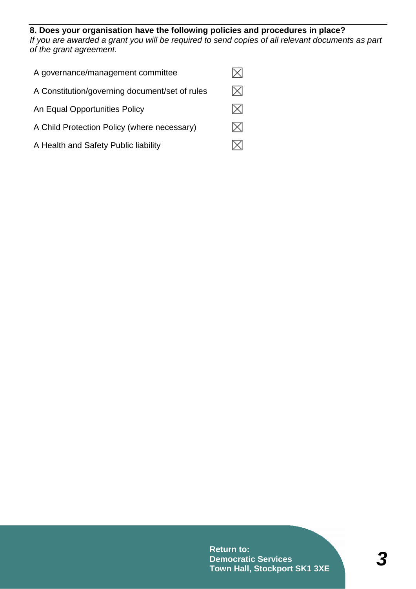#### **8. Does your organisation have the following policies and procedures in place?**

*If you are awarded a grant you will be required to send copies of all relevant documents as part of the grant agreement.*

| A governance/management committee              |  |
|------------------------------------------------|--|
| A Constitution/governing document/set of rules |  |
| An Equal Opportunities Policy                  |  |
| A Child Protection Policy (where necessary)    |  |
| A Health and Safety Public liability           |  |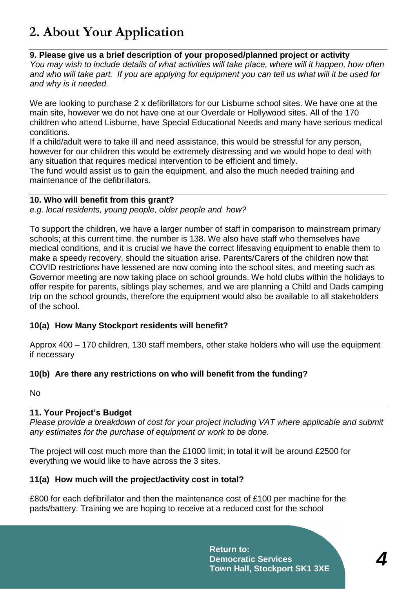### **2. About Your Application**

#### **9. Please give us a brief description of your proposed/planned project or activity**

*You may wish to include details of what activities will take place, where will it happen, how often and who will take part. If you are applying for equipment you can tell us what will it be used for and why is it needed.*

We are looking to purchase 2 x defibrillators for our Lisburne school sites. We have one at the main site, however we do not have one at our Overdale or Hollywood sites. All of the 170 children who attend Lisburne, have Special Educational Needs and many have serious medical conditions.

If a child/adult were to take ill and need assistance, this would be stressful for any person, however for our children this would be extremely distressing and we would hope to deal with any situation that requires medical intervention to be efficient and timely.

The fund would assist us to gain the equipment, and also the much needed training and maintenance of the defibrillators.

#### **10. Who will benefit from this grant?**

*e.g. local residents, young people, older people and how?*

To support the children, we have a larger number of staff in comparison to mainstream primary schools; at this current time, the number is 138. We also have staff who themselves have medical conditions, and it is crucial we have the correct lifesaving equipment to enable them to make a speedy recovery, should the situation arise. Parents/Carers of the children now that COVID restrictions have lessened are now coming into the school sites, and meeting such as Governor meeting are now taking place on school grounds. We hold clubs within the holidays to offer respite for parents, siblings play schemes, and we are planning a Child and Dads camping trip on the school grounds, therefore the equipment would also be available to all stakeholders of the school.

#### **10(a) How Many Stockport residents will benefit?**

Approx 400 – 170 children, 130 staff members, other stake holders who will use the equipment if necessary

#### **10(b) Are there any restrictions on who will benefit from the funding?**

No

#### **11. Your Project's Budget**

*Please provide a breakdown of cost for your project including VAT where applicable and submit any estimates for the purchase of equipment or work to be done.*

The project will cost much more than the £1000 limit; in total it will be around £2500 for everything we would like to have across the 3 sites.

#### **11(a) How much will the project/activity cost in total?**

£800 for each defibrillator and then the maintenance cost of £100 per machine for the pads/battery. Training we are hoping to receive at a reduced cost for the school

> **Return to: Democratic Services Town Hall, Stockport SK1 3XE**

*4*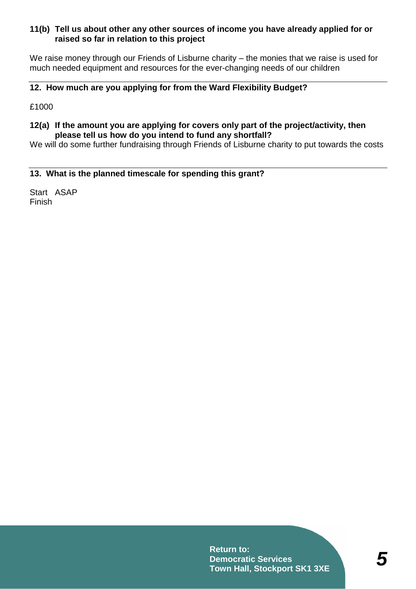#### **11(b) Tell us about other any other sources of income you have already applied for or raised so far in relation to this project**

We raise money through our Friends of Lisburne charity – the monies that we raise is used for much needed equipment and resources for the ever-changing needs of our children

### **12. How much are you applying for from the Ward Flexibility Budget?**

£1000

#### **12(a) If the amount you are applying for covers only part of the project/activity, then please tell us how do you intend to fund any shortfall?**

We will do some further fundraising through Friends of Lisburne charity to put towards the costs

#### **13. What is the planned timescale for spending this grant?**

Start ASAP Finish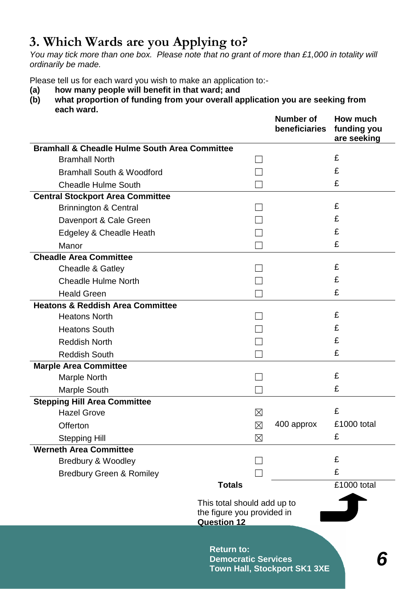### **3. Which Wards are you Applying to?**

*You may tick more than one box. Please note that no grant of more than £1,000 in totality will ordinarily be made.*

Please tell us for each ward you wish to make an application to:-

- **(a) how many people will benefit in that ward; and**
- **(b) what proportion of funding from your overall application you are seeking from each ward.**

| <b>Number of</b><br>beneficiaries                                               | How much<br>funding you<br>are seeking     |  |
|---------------------------------------------------------------------------------|--------------------------------------------|--|
| <b>Bramhall &amp; Cheadle Hulme South Area Committee</b>                        |                                            |  |
|                                                                                 | £                                          |  |
|                                                                                 | £                                          |  |
|                                                                                 | £                                          |  |
|                                                                                 |                                            |  |
|                                                                                 | £                                          |  |
|                                                                                 | £                                          |  |
|                                                                                 | £                                          |  |
|                                                                                 | £                                          |  |
|                                                                                 |                                            |  |
|                                                                                 | £                                          |  |
|                                                                                 | £                                          |  |
|                                                                                 | £                                          |  |
|                                                                                 |                                            |  |
|                                                                                 | £                                          |  |
|                                                                                 | £                                          |  |
|                                                                                 | £                                          |  |
|                                                                                 | £                                          |  |
|                                                                                 |                                            |  |
|                                                                                 | £                                          |  |
|                                                                                 | £                                          |  |
|                                                                                 |                                            |  |
|                                                                                 | £                                          |  |
| $\boxtimes$                                                                     | £1000 total                                |  |
| $\boxtimes$                                                                     | £                                          |  |
|                                                                                 |                                            |  |
|                                                                                 | £                                          |  |
|                                                                                 | £                                          |  |
|                                                                                 | £1000 total                                |  |
| This total should add up to<br>the figure you provided in<br><b>Question 12</b> |                                            |  |
| <b>Return to:</b><br><b>Democratic Services</b><br>Town Hall, Stockport SK1 3XE |                                            |  |
|                                                                                 | $\boxtimes$<br>400 approx<br><b>Totals</b> |  |